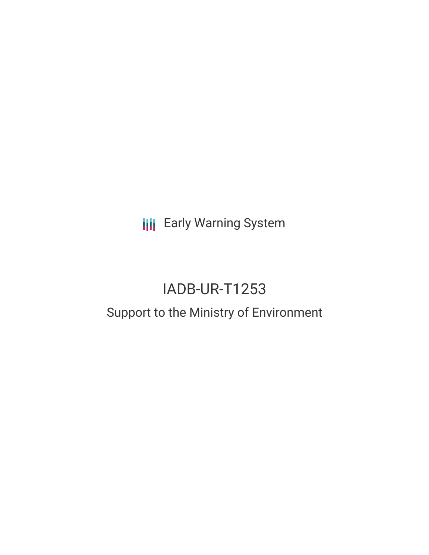**III** Early Warning System

# IADB-UR-T1253

## Support to the Ministry of Environment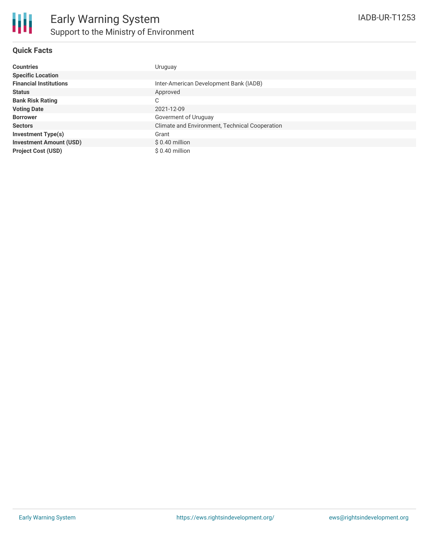

#### **Quick Facts**

| <b>Countries</b>               | Uruguay                                        |
|--------------------------------|------------------------------------------------|
| <b>Specific Location</b>       |                                                |
| <b>Financial Institutions</b>  | Inter-American Development Bank (IADB)         |
| <b>Status</b>                  | Approved                                       |
| <b>Bank Risk Rating</b>        | С                                              |
| <b>Voting Date</b>             | 2021-12-09                                     |
| <b>Borrower</b>                | Goverment of Uruguay                           |
| <b>Sectors</b>                 | Climate and Environment, Technical Cooperation |
| <b>Investment Type(s)</b>      | Grant                                          |
| <b>Investment Amount (USD)</b> | $$0.40$ million                                |
| <b>Project Cost (USD)</b>      | \$0.40 million                                 |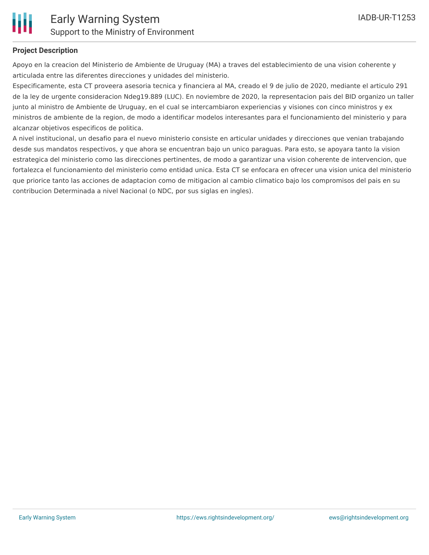

### **Project Description**

Apoyo en la creacion del Ministerio de Ambiente de Uruguay (MA) a traves del establecimiento de una vision coherente y articulada entre las diferentes direcciones y unidades del ministerio.

Especificamente, esta CT proveera asesoria tecnica y financiera al MA, creado el 9 de julio de 2020, mediante el articulo 291 de la ley de urgente consideracion Ndeg19.889 (LUC). En noviembre de 2020, la representacion pais del BID organizo un taller junto al ministro de Ambiente de Uruguay, en el cual se intercambiaron experiencias y visiones con cinco ministros y ex ministros de ambiente de la region, de modo a identificar modelos interesantes para el funcionamiento del ministerio y para alcanzar objetivos especificos de politica.

A nivel institucional, un desafio para el nuevo ministerio consiste en articular unidades y direcciones que venian trabajando desde sus mandatos respectivos, y que ahora se encuentran bajo un unico paraguas. Para esto, se apoyara tanto la vision estrategica del ministerio como las direcciones pertinentes, de modo a garantizar una vision coherente de intervencion, que fortalezca el funcionamiento del ministerio como entidad unica. Esta CT se enfocara en ofrecer una vision unica del ministerio que priorice tanto las acciones de adaptacion como de mitigacion al cambio climatico bajo los compromisos del pais en su contribucion Determinada a nivel Nacional (o NDC, por sus siglas en ingles).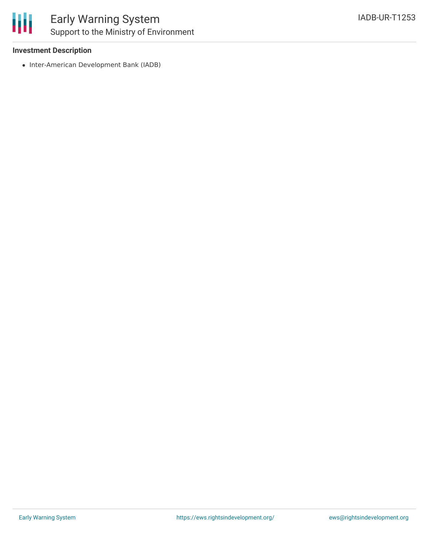

#### **Investment Description**

• Inter-American Development Bank (IADB)